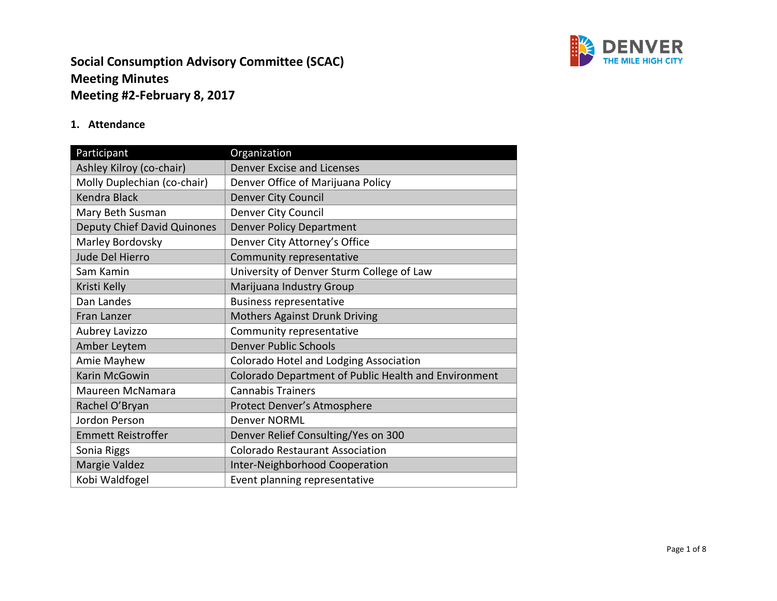

#### **1. Attendance**

| Participant                        | Organization                                         |
|------------------------------------|------------------------------------------------------|
| Ashley Kilroy (co-chair)           | <b>Denver Excise and Licenses</b>                    |
| Molly Duplechian (co-chair)        | Denver Office of Marijuana Policy                    |
| <b>Kendra Black</b>                | <b>Denver City Council</b>                           |
| Mary Beth Susman                   | Denver City Council                                  |
| <b>Deputy Chief David Quinones</b> | <b>Denver Policy Department</b>                      |
| Marley Bordovsky                   | Denver City Attorney's Office                        |
| Jude Del Hierro                    | Community representative                             |
| Sam Kamin                          | University of Denver Sturm College of Law            |
| Kristi Kelly                       | Marijuana Industry Group                             |
| Dan Landes                         | <b>Business representative</b>                       |
| Fran Lanzer                        | <b>Mothers Against Drunk Driving</b>                 |
| Aubrey Lavizzo                     | Community representative                             |
| Amber Leytem                       | <b>Denver Public Schools</b>                         |
| Amie Mayhew                        | Colorado Hotel and Lodging Association               |
| Karin McGowin                      | Colorado Department of Public Health and Environment |
| Maureen McNamara                   | <b>Cannabis Trainers</b>                             |
| Rachel O'Bryan                     | Protect Denver's Atmosphere                          |
| Jordon Person                      | <b>Denver NORML</b>                                  |
| <b>Emmett Reistroffer</b>          | Denver Relief Consulting/Yes on 300                  |
| Sonia Riggs                        | <b>Colorado Restaurant Association</b>               |
| Margie Valdez                      | <b>Inter-Neighborhood Cooperation</b>                |
| Kobi Waldfogel                     | Event planning representative                        |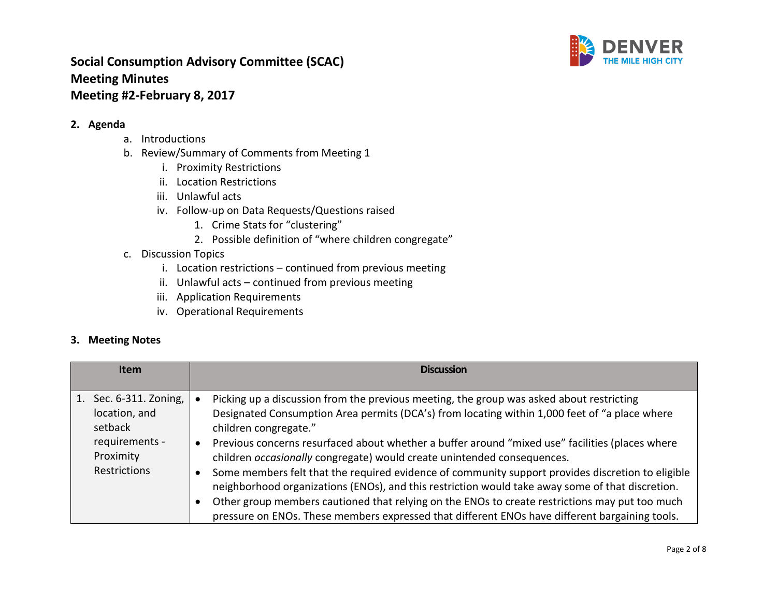

#### **2. Agenda**

- a. Introductions
- b. Review/Summary of Comments from Meeting 1
	- i. Proximity Restrictions
	- ii. Location Restrictions
	- iii. Unlawful acts
	- iv. Follow-up on Data Requests/Questions raised
		- 1. Crime Stats for "clustering"
		- 2. Possible definition of "where children congregate"
- c. Discussion Topics
	- i. Location restrictions continued from previous meeting
	- ii. Unlawful acts continued from previous meeting
	- iii. Application Requirements
	- iv. Operational Requirements

#### **3. Meeting Notes**

| <b>Item</b>                                                                                                 | <b>Discussion</b>                                                                                                                                                                                                                                                                                                                                                                                                                                                                                                                                                                                                                                                                                                                                                                                             |
|-------------------------------------------------------------------------------------------------------------|---------------------------------------------------------------------------------------------------------------------------------------------------------------------------------------------------------------------------------------------------------------------------------------------------------------------------------------------------------------------------------------------------------------------------------------------------------------------------------------------------------------------------------------------------------------------------------------------------------------------------------------------------------------------------------------------------------------------------------------------------------------------------------------------------------------|
| Sec. 6-311. Zoning,<br>1.<br>location, and<br>setback<br>requirements -<br>Proximity<br><b>Restrictions</b> | Picking up a discussion from the previous meeting, the group was asked about restricting<br>Designated Consumption Area permits (DCA's) from locating within 1,000 feet of "a place where<br>children congregate."<br>Previous concerns resurfaced about whether a buffer around "mixed use" facilities (places where<br>children occasionally congregate) would create unintended consequences.<br>Some members felt that the required evidence of community support provides discretion to eligible<br>neighborhood organizations (ENOs), and this restriction would take away some of that discretion.<br>Other group members cautioned that relying on the ENOs to create restrictions may put too much<br>pressure on ENOs. These members expressed that different ENOs have different bargaining tools. |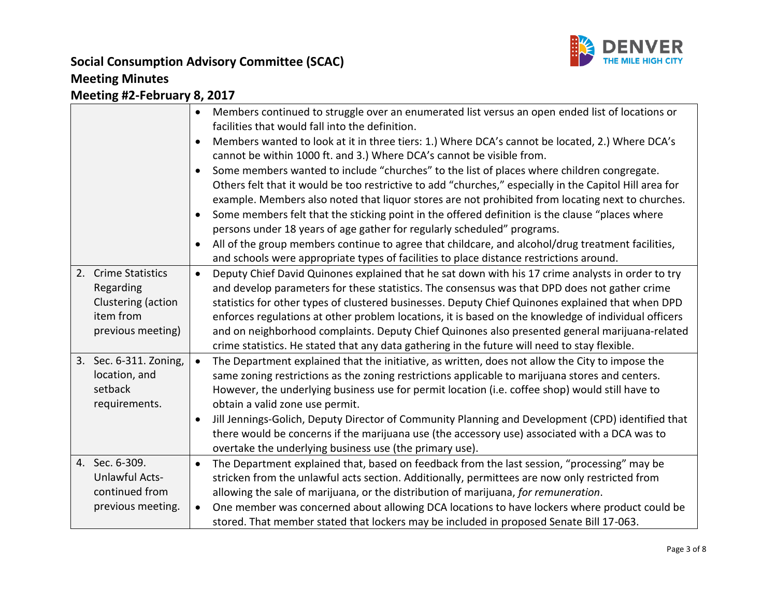

# **Social Consumption Advisory Committee (SCAC) Meeting Minutes**

# **Meeting #2-February 8, 2017**

|                        | Members continued to struggle over an enumerated list versus an open ended list of locations or<br>$\bullet$<br>facilities that would fall into the definition. |
|------------------------|-----------------------------------------------------------------------------------------------------------------------------------------------------------------|
|                        | Members wanted to look at it in three tiers: 1.) Where DCA's cannot be located, 2.) Where DCA's<br>$\bullet$                                                    |
|                        | cannot be within 1000 ft. and 3.) Where DCA's cannot be visible from.                                                                                           |
|                        | Some members wanted to include "churches" to the list of places where children congregate.<br>$\bullet$                                                         |
|                        | Others felt that it would be too restrictive to add "churches," especially in the Capitol Hill area for                                                         |
|                        | example. Members also noted that liquor stores are not prohibited from locating next to churches.                                                               |
|                        | Some members felt that the sticking point in the offered definition is the clause "places where<br>$\bullet$                                                    |
|                        | persons under 18 years of age gather for regularly scheduled" programs.                                                                                         |
|                        | All of the group members continue to agree that childcare, and alcohol/drug treatment facilities,<br>$\bullet$                                                  |
|                        | and schools were appropriate types of facilities to place distance restrictions around.                                                                         |
| 2. Crime Statistics    | Deputy Chief David Quinones explained that he sat down with his 17 crime analysts in order to try<br>$\bullet$                                                  |
| Regarding              | and develop parameters for these statistics. The consensus was that DPD does not gather crime                                                                   |
| Clustering (action     | statistics for other types of clustered businesses. Deputy Chief Quinones explained that when DPD                                                               |
| item from              | enforces regulations at other problem locations, it is based on the knowledge of individual officers                                                            |
| previous meeting)      | and on neighborhood complaints. Deputy Chief Quinones also presented general marijuana-related                                                                  |
|                        | crime statistics. He stated that any data gathering in the future will need to stay flexible.                                                                   |
| 3. Sec. 6-311. Zoning, | The Department explained that the initiative, as written, does not allow the City to impose the<br>$\bullet$                                                    |
| location, and          | same zoning restrictions as the zoning restrictions applicable to marijuana stores and centers.                                                                 |
| setback                | However, the underlying business use for permit location (i.e. coffee shop) would still have to                                                                 |
| requirements.          | obtain a valid zone use permit.                                                                                                                                 |
|                        | Jill Jennings-Golich, Deputy Director of Community Planning and Development (CPD) identified that<br>$\bullet$                                                  |
|                        | there would be concerns if the marijuana use (the accessory use) associated with a DCA was to                                                                   |
|                        | overtake the underlying business use (the primary use).                                                                                                         |
| 4. Sec. 6-309.         | The Department explained that, based on feedback from the last session, "processing" may be<br>$\bullet$                                                        |
| <b>Unlawful Acts-</b>  | stricken from the unlawful acts section. Additionally, permittees are now only restricted from                                                                  |
| continued from         | allowing the sale of marijuana, or the distribution of marijuana, for remuneration.                                                                             |
| previous meeting.      | One member was concerned about allowing DCA locations to have lockers where product could be<br>$\bullet$                                                       |
|                        | stored. That member stated that lockers may be included in proposed Senate Bill 17-063.                                                                         |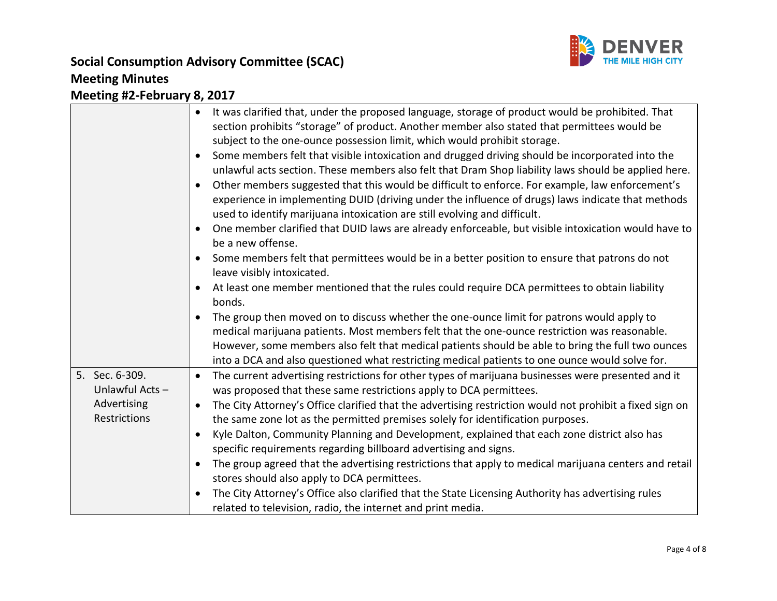

|                | It was clarified that, under the proposed language, storage of product would be prohibited. That         |
|----------------|----------------------------------------------------------------------------------------------------------|
|                | section prohibits "storage" of product. Another member also stated that permittees would be              |
|                | subject to the one-ounce possession limit, which would prohibit storage.                                 |
|                | Some members felt that visible intoxication and drugged driving should be incorporated into the          |
|                | unlawful acts section. These members also felt that Dram Shop liability laws should be applied here.     |
|                | Other members suggested that this would be difficult to enforce. For example, law enforcement's          |
|                | experience in implementing DUID (driving under the influence of drugs) laws indicate that methods        |
|                | used to identify marijuana intoxication are still evolving and difficult.                                |
|                | One member clarified that DUID laws are already enforceable, but visible intoxication would have to      |
|                | be a new offense.                                                                                        |
|                | Some members felt that permittees would be in a better position to ensure that patrons do not            |
|                | leave visibly intoxicated.                                                                               |
|                | At least one member mentioned that the rules could require DCA permittees to obtain liability            |
|                | bonds.                                                                                                   |
|                | The group then moved on to discuss whether the one-ounce limit for patrons would apply to                |
|                | medical marijuana patients. Most members felt that the one-ounce restriction was reasonable.             |
|                | However, some members also felt that medical patients should be able to bring the full two ounces        |
|                | into a DCA and also questioned what restricting medical patients to one ounce would solve for.           |
| 5. Sec. 6-309. | The current advertising restrictions for other types of marijuana businesses were presented and it       |
| Unlawful Acts- | was proposed that these same restrictions apply to DCA permittees.                                       |
| Advertising    | The City Attorney's Office clarified that the advertising restriction would not prohibit a fixed sign on |
| Restrictions   | the same zone lot as the permitted premises solely for identification purposes.                          |
|                | Kyle Dalton, Community Planning and Development, explained that each zone district also has              |
|                | specific requirements regarding billboard advertising and signs.                                         |
|                | The group agreed that the advertising restrictions that apply to medical marijuana centers and retail    |
|                | stores should also apply to DCA permittees.                                                              |
|                | The City Attorney's Office also clarified that the State Licensing Authority has advertising rules       |
|                | related to television, radio, the internet and print media.                                              |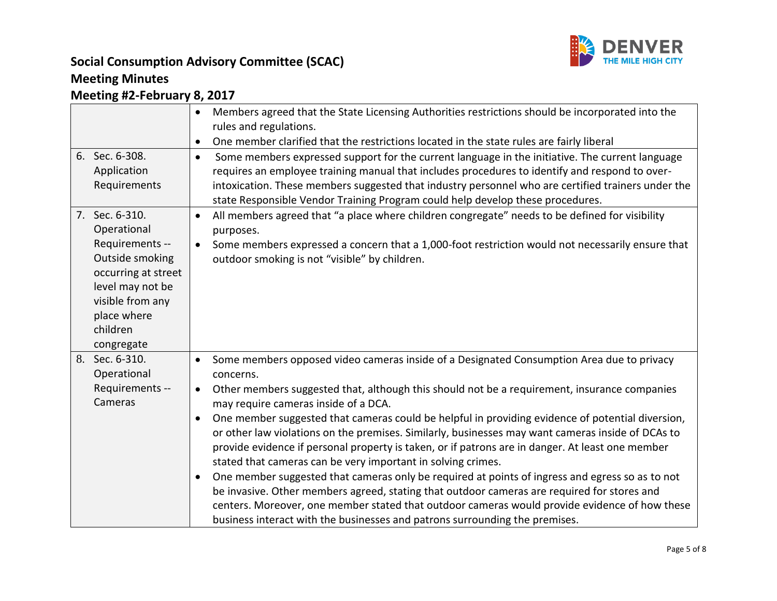

## **Social Consumption Advisory Committee (SCAC) Meeting Minutes**

## **Meeting #2-February 8, 2017**

|                                                                                                                      | $\bullet$                                        | Members agreed that the State Licensing Authorities restrictions should be incorporated into the<br>rules and regulations.<br>One member clarified that the restrictions located in the state rules are fairly liberal                                                                                                                                                                                                                                                                                                                                                                                                                                                                                                                                                                                                                                                                                                                                                                                        |
|----------------------------------------------------------------------------------------------------------------------|--------------------------------------------------|---------------------------------------------------------------------------------------------------------------------------------------------------------------------------------------------------------------------------------------------------------------------------------------------------------------------------------------------------------------------------------------------------------------------------------------------------------------------------------------------------------------------------------------------------------------------------------------------------------------------------------------------------------------------------------------------------------------------------------------------------------------------------------------------------------------------------------------------------------------------------------------------------------------------------------------------------------------------------------------------------------------|
| 6. Sec. 6-308.<br>Application<br>Requirements<br>7. Sec. 6-310.<br>Operational<br>Requirements --<br>Outside smoking | $\bullet$                                        | Some members expressed support for the current language in the initiative. The current language<br>requires an employee training manual that includes procedures to identify and respond to over-<br>intoxication. These members suggested that industry personnel who are certified trainers under the<br>state Responsible Vendor Training Program could help develop these procedures.<br>All members agreed that "a place where children congregate" needs to be defined for visibility<br>purposes.<br>Some members expressed a concern that a 1,000-foot restriction would not necessarily ensure that<br>outdoor smoking is not "visible" by children.                                                                                                                                                                                                                                                                                                                                                 |
| occurring at street<br>level may not be<br>visible from any<br>place where<br>children<br>congregate                 |                                                  |                                                                                                                                                                                                                                                                                                                                                                                                                                                                                                                                                                                                                                                                                                                                                                                                                                                                                                                                                                                                               |
| 8. Sec. 6-310.<br>Operational<br>Requirements --<br>Cameras                                                          | $\bullet$<br>$\bullet$<br>$\bullet$<br>$\bullet$ | Some members opposed video cameras inside of a Designated Consumption Area due to privacy<br>concerns.<br>Other members suggested that, although this should not be a requirement, insurance companies<br>may require cameras inside of a DCA.<br>One member suggested that cameras could be helpful in providing evidence of potential diversion,<br>or other law violations on the premises. Similarly, businesses may want cameras inside of DCAs to<br>provide evidence if personal property is taken, or if patrons are in danger. At least one member<br>stated that cameras can be very important in solving crimes.<br>One member suggested that cameras only be required at points of ingress and egress so as to not<br>be invasive. Other members agreed, stating that outdoor cameras are required for stores and<br>centers. Moreover, one member stated that outdoor cameras would provide evidence of how these<br>business interact with the businesses and patrons surrounding the premises. |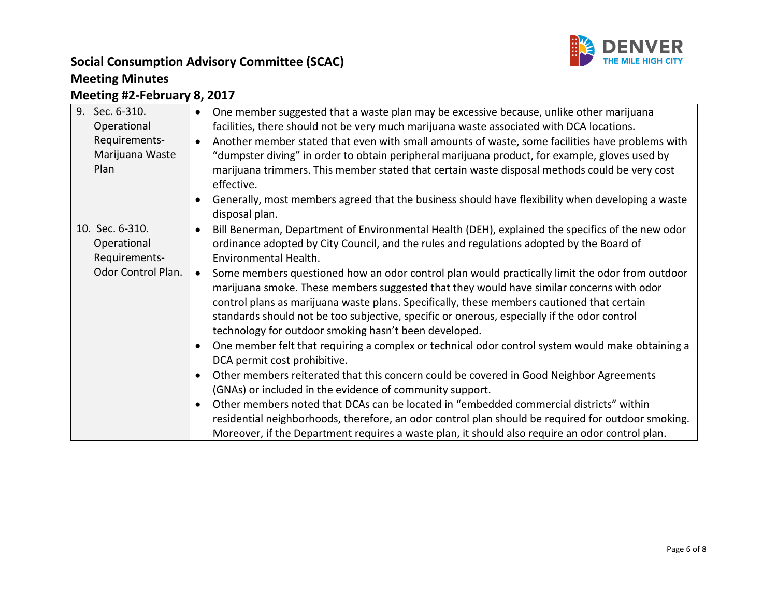

## **Social Consumption Advisory Committee (SCAC) Meeting Minutes**

## **Meeting #2-February 8, 2017**

| 9.<br>Sec. 6-310.  | One member suggested that a waste plan may be excessive because, unlike other marijuana<br>$\bullet$               |
|--------------------|--------------------------------------------------------------------------------------------------------------------|
| Operational        | facilities, there should not be very much marijuana waste associated with DCA locations.                           |
| Requirements-      | Another member stated that even with small amounts of waste, some facilities have problems with<br>$\bullet$       |
| Marijuana Waste    | "dumpster diving" in order to obtain peripheral marijuana product, for example, gloves used by                     |
| Plan               | marijuana trimmers. This member stated that certain waste disposal methods could be very cost<br>effective.        |
|                    | Generally, most members agreed that the business should have flexibility when developing a waste<br>disposal plan. |
| 10. Sec. 6-310.    | Bill Benerman, Department of Environmental Health (DEH), explained the specifics of the new odor<br>$\bullet$      |
| Operational        | ordinance adopted by City Council, and the rules and regulations adopted by the Board of                           |
| Requirements-      | Environmental Health.                                                                                              |
| Odor Control Plan. | Some members questioned how an odor control plan would practically limit the odor from outdoor<br>$\bullet$        |
|                    | marijuana smoke. These members suggested that they would have similar concerns with odor                           |
|                    | control plans as marijuana waste plans. Specifically, these members cautioned that certain                         |
|                    |                                                                                                                    |
|                    | standards should not be too subjective, specific or onerous, especially if the odor control                        |
|                    | technology for outdoor smoking hasn't been developed.                                                              |
|                    | One member felt that requiring a complex or technical odor control system would make obtaining a<br>$\bullet$      |
|                    | DCA permit cost prohibitive.                                                                                       |
|                    | Other members reiterated that this concern could be covered in Good Neighbor Agreements<br>$\bullet$               |
|                    | (GNAs) or included in the evidence of community support.                                                           |
|                    | Other members noted that DCAs can be located in "embedded commercial districts" within<br>$\bullet$                |
|                    | residential neighborhoods, therefore, an odor control plan should be required for outdoor smoking.                 |
|                    | Moreover, if the Department requires a waste plan, it should also require an odor control plan.                    |
|                    |                                                                                                                    |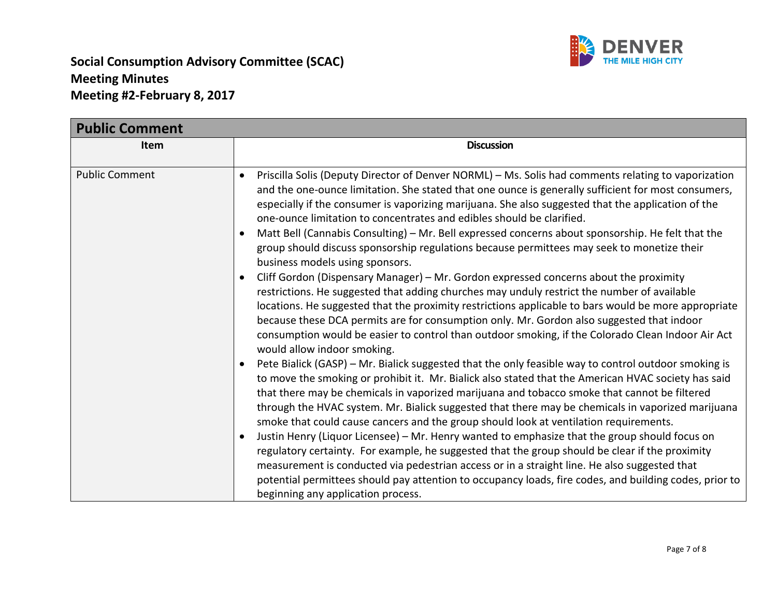

| <b>Public Comment</b> |                                                                                                                                                                                                                                                                                                                                                                                                                                                                                                                                                                                                                                                                                                                                                                                                                                                                                                                                                                                                                                                                                                                                                                                                                                                                                                                                                                                                                                                                                                                                                                                                                                                                                                                                                                                                                                                                                                                                                                                                                                                                                                                                   |  |
|-----------------------|-----------------------------------------------------------------------------------------------------------------------------------------------------------------------------------------------------------------------------------------------------------------------------------------------------------------------------------------------------------------------------------------------------------------------------------------------------------------------------------------------------------------------------------------------------------------------------------------------------------------------------------------------------------------------------------------------------------------------------------------------------------------------------------------------------------------------------------------------------------------------------------------------------------------------------------------------------------------------------------------------------------------------------------------------------------------------------------------------------------------------------------------------------------------------------------------------------------------------------------------------------------------------------------------------------------------------------------------------------------------------------------------------------------------------------------------------------------------------------------------------------------------------------------------------------------------------------------------------------------------------------------------------------------------------------------------------------------------------------------------------------------------------------------------------------------------------------------------------------------------------------------------------------------------------------------------------------------------------------------------------------------------------------------------------------------------------------------------------------------------------------------|--|
| <b>Item</b>           | <b>Discussion</b>                                                                                                                                                                                                                                                                                                                                                                                                                                                                                                                                                                                                                                                                                                                                                                                                                                                                                                                                                                                                                                                                                                                                                                                                                                                                                                                                                                                                                                                                                                                                                                                                                                                                                                                                                                                                                                                                                                                                                                                                                                                                                                                 |  |
| <b>Public Comment</b> | Priscilla Solis (Deputy Director of Denver NORML) - Ms. Solis had comments relating to vaporization<br>and the one-ounce limitation. She stated that one ounce is generally sufficient for most consumers,<br>especially if the consumer is vaporizing marijuana. She also suggested that the application of the<br>one-ounce limitation to concentrates and edibles should be clarified.<br>Matt Bell (Cannabis Consulting) - Mr. Bell expressed concerns about sponsorship. He felt that the<br>group should discuss sponsorship regulations because permittees may seek to monetize their<br>business models using sponsors.<br>Cliff Gordon (Dispensary Manager) - Mr. Gordon expressed concerns about the proximity<br>restrictions. He suggested that adding churches may unduly restrict the number of available<br>locations. He suggested that the proximity restrictions applicable to bars would be more appropriate<br>because these DCA permits are for consumption only. Mr. Gordon also suggested that indoor<br>consumption would be easier to control than outdoor smoking, if the Colorado Clean Indoor Air Act<br>would allow indoor smoking.<br>Pete Bialick (GASP) - Mr. Bialick suggested that the only feasible way to control outdoor smoking is<br>to move the smoking or prohibit it. Mr. Bialick also stated that the American HVAC society has said<br>that there may be chemicals in vaporized marijuana and tobacco smoke that cannot be filtered<br>through the HVAC system. Mr. Bialick suggested that there may be chemicals in vaporized marijuana<br>smoke that could cause cancers and the group should look at ventilation requirements.<br>Justin Henry (Liquor Licensee) - Mr. Henry wanted to emphasize that the group should focus on<br>regulatory certainty. For example, he suggested that the group should be clear if the proximity<br>measurement is conducted via pedestrian access or in a straight line. He also suggested that<br>potential permittees should pay attention to occupancy loads, fire codes, and building codes, prior to<br>beginning any application process. |  |